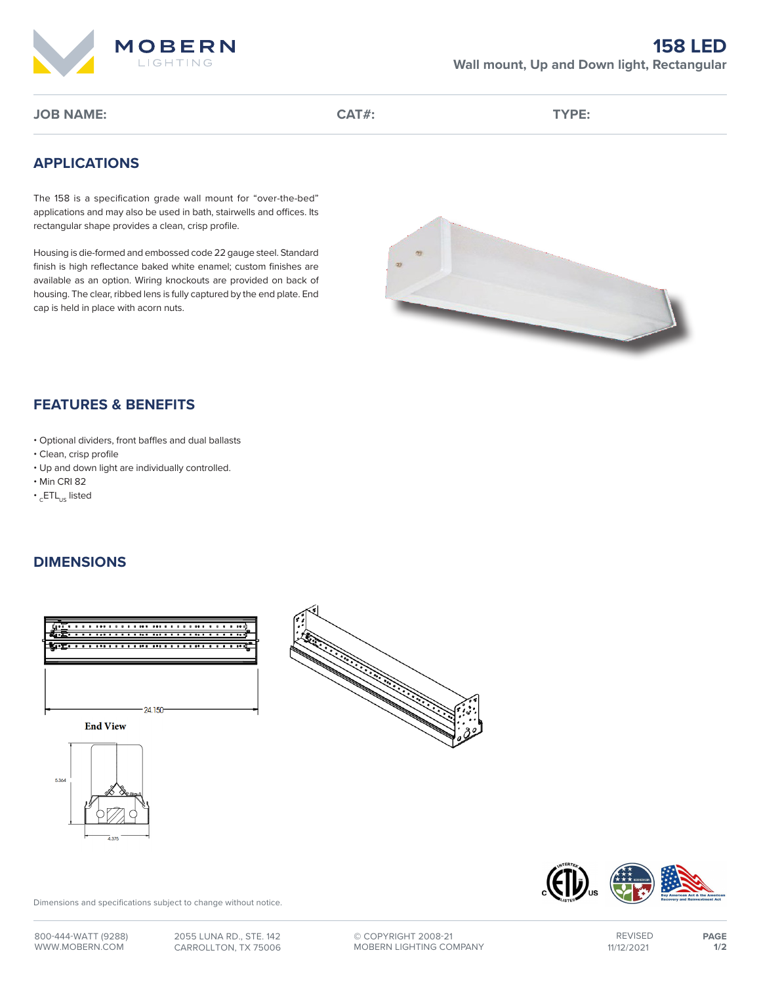

**JOB NAME: CAT#: TYPE:**

## **APPLICATIONS**

The 158 is a specification grade wall mount for "over-the-bed" applications and may also be used in bath, stairwells and offices. Its rectangular shape provides a clean, crisp profile.

Housing is die-formed and embossed code 22 gauge steel. Standard finish is high reflectance baked white enamel; custom finishes are available as an option. Wiring knockouts are provided on back of housing. The clear, ribbed lens is fully captured by the end plate. End cap is held in place with acorn nuts.



# **FEATURES & BENEFITS**

- Optional dividers, front baffles and dual ballasts
- Clean, crisp profile
- Up and down light are individually controlled.
- Min CRI 82
- $\cdot$ <sub>c</sub>ETL<sub>us</sub> listed

## **DIMENSIONS**







Dimensions and specifications subject to change without notice.

5.364